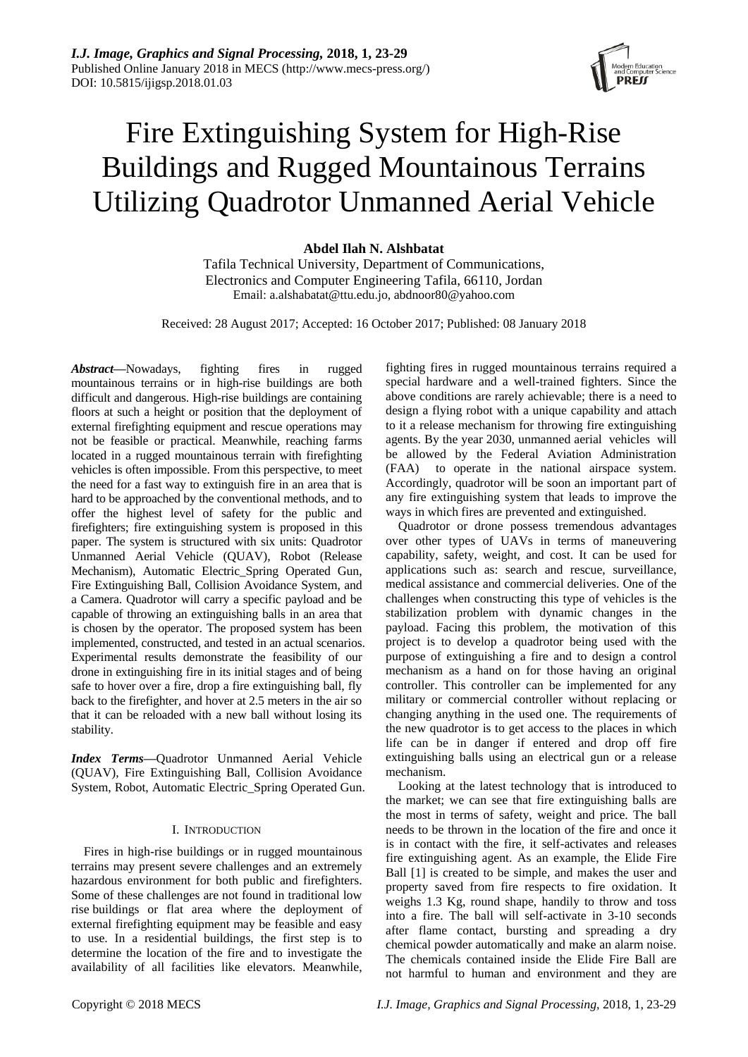

# Fire Extinguishing System for High-Rise Buildings and Rugged Mountainous Terrains Utilizing Quadrotor Unmanned Aerial Vehicle

# **Abdel Ilah N. Alshbatat**

Tafila Technical University, Department of Communications, Electronics and Computer Engineering Tafila, 66110, Jordan Email: a.alshabatat@ttu.edu.jo, abdnoor80@yahoo.com

Received: 28 August 2017; Accepted: 16 October 2017; Published: 08 January 2018

*Abstract***—**Nowadays, fighting fires in rugged mountainous terrains or in high-rise buildings are both difficult and dangerous. High-rise buildings are containing floors at such a height or position that the deployment of external firefighting equipment and rescue operations may not be feasible or practical. Meanwhile, reaching farms located in a rugged mountainous terrain with firefighting vehicles is often impossible. From this perspective, to meet the need for a fast way to extinguish fire in an area that is hard to be approached by the conventional methods, and to offer the highest level of safety for the public and firefighters; fire extinguishing system is proposed in this paper. The system is structured with six units: Quadrotor Unmanned Aerial Vehicle (QUAV), Robot (Release Mechanism), Automatic Electric\_Spring Operated Gun, Fire Extinguishing Ball, Collision Avoidance System, and a Camera. Quadrotor will carry a specific payload and be capable of throwing an extinguishing balls in an area that is chosen by the operator. The proposed system has been implemented, constructed, and tested in an actual scenarios. Experimental results demonstrate the feasibility of our drone in extinguishing fire in its initial stages and of being safe to hover over a fire, drop a fire extinguishing ball, fly back to the firefighter, and hover at 2.5 meters in the air so that it can be reloaded with a new ball without losing its stability.

*Index Terms***—**Quadrotor Unmanned Aerial Vehicle (QUAV), Fire Extinguishing Ball, Collision Avoidance System, Robot, Automatic Electric\_Spring Operated Gun.

# I. INTRODUCTION

Fires in high-rise buildings or in rugged mountainous terrains may present severe challenges and an extremely hazardous environment for both public and firefighters. Some of these challenges are not found in traditional low rise buildings or flat area where the deployment of external firefighting equipment may be feasible and easy to use. In a residential buildings, the first step is to determine the location of the fire and to investigate the availability of all facilities like elevators. Meanwhile,

fighting fires in rugged mountainous terrains required a special hardware and a well-trained fighters. Since the above conditions are rarely achievable; there is a need to design a flying robot with a unique capability and attach to it a release mechanism for throwing fire extinguishing agents. By the year 2030, unmanned aerial vehicles will be allowed by the Federal Aviation Administration (FAA) to operate in the national airspace system. Accordingly, quadrotor will be soon an important part of any fire extinguishing system that leads to improve the ways in which fires are prevented and extinguished.

Quadrotor or drone possess tremendous advantages over other types of UAVs in terms of maneuvering capability, safety, weight, and cost. It can be used for applications such as: search and rescue, surveillance, medical assistance and commercial deliveries. One of the challenges when constructing this type of vehicles is the stabilization problem with dynamic changes in the payload. Facing this problem, the motivation of this project is to develop a quadrotor being used with the purpose of extinguishing a fire and to design a control mechanism as a hand on for those having an original controller. This controller can be implemented for any military or commercial controller without replacing or changing anything in the used one. The requirements of the new quadrotor is to get access to the places in which life can be in danger if entered and drop off fire extinguishing balls using an electrical gun or a release mechanism.

Looking at the latest technology that is introduced to the market; we can see that fire extinguishing balls are the most in terms of safety, weight and price. The ball needs to be thrown in the location of the fire and once it is in contact with the fire, it self-activates and releases fire extinguishing agent. As an example, the Elide Fire Ball [1] is created to be simple, and makes the user and property saved from fire respects to fire oxidation. It weighs 1.3 Kg, round shape, handily to throw and toss into a fire. The ball will self-activate in 3-10 seconds after flame contact, bursting and spreading a dry chemical powder automatically and make an alarm noise. The chemicals contained inside the Elide Fire Ball are not harmful to human and environment and they are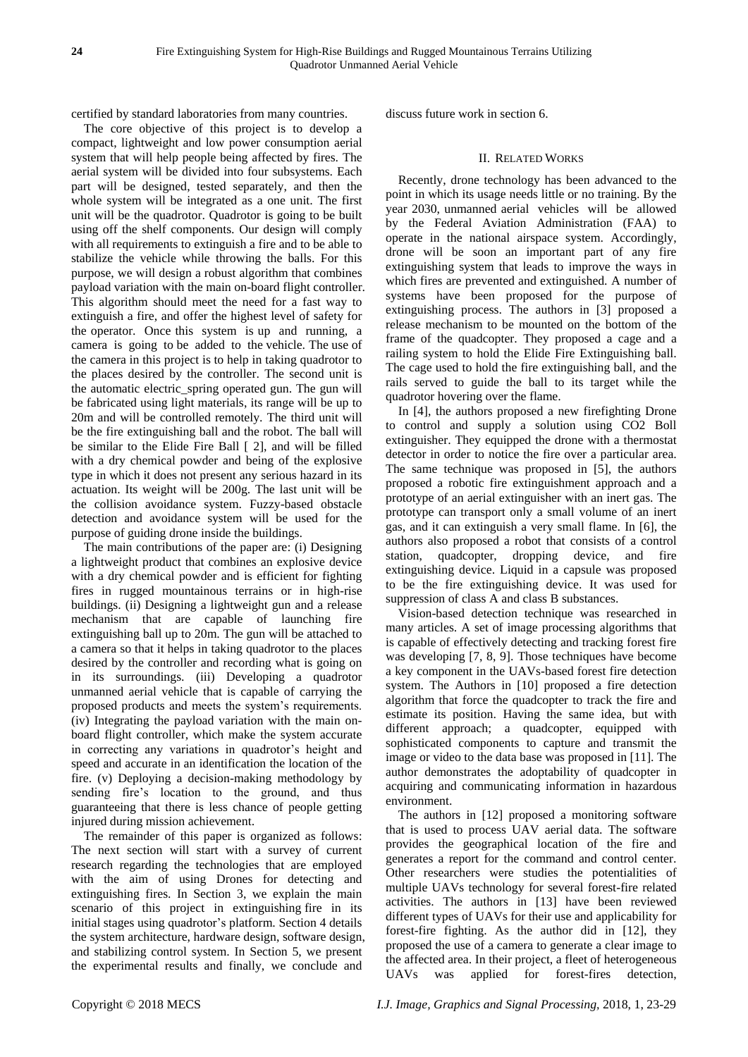certified by standard laboratories from many countries.

The core objective of this project is to develop a compact, lightweight and low power consumption aerial system that will help people being affected by fires. The aerial system will be divided into four subsystems. Each part will be designed, tested separately, and then the whole system will be integrated as a one unit. The first unit will be the quadrotor. Quadrotor is going to be built using off the shelf components. Our design will comply with all requirements to extinguish a fire and to be able to stabilize the vehicle while throwing the balls. For this purpose, we will design a robust algorithm that combines payload variation with the main on-board flight controller. This algorithm should meet the need for a fast way to extinguish a fire, and offer the highest level of safety for the operator. Once this system is up and running, a camera is going to be added to the vehicle. The use of the camera in this project is to help in taking quadrotor to the places desired by the controller. The second unit is the automatic electric\_spring operated gun. The gun will be fabricated using light materials, its range will be up to 20m and will be controlled remotely. The third unit will be the fire extinguishing ball and the robot. The ball will be similar to the Elide Fire Ball [ 2], and will be filled with a dry chemical powder and being of the explosive type in which it does not present any serious hazard in its actuation. Its weight will be 200g. The last unit will be the collision avoidance system. Fuzzy-based obstacle detection and avoidance system will be used for the purpose of guiding drone inside the buildings.

The main contributions of the paper are: (i) Designing a lightweight product that combines an explosive device with a dry chemical powder and is efficient for fighting fires in rugged mountainous terrains or in high-rise buildings. (ii) Designing a lightweight gun and a release mechanism that are capable of launching fire extinguishing ball up to 20m. The gun will be attached to a camera so that it helps in taking quadrotor to the places desired by the controller and recording what is going on in its surroundings. (iii) Developing a quadrotor unmanned aerial vehicle that is capable of carrying the proposed products and meets the system's requirements. (iv) Integrating the payload variation with the main onboard flight controller, which make the system accurate in correcting any variations in quadrotor's height and speed and accurate in an identification the location of the fire. (v) Deploying a decision-making methodology by sending fire's location to the ground, and thus guaranteeing that there is less chance of people getting injured during mission achievement.

The remainder of this paper is organized as follows: The next section will start with a survey of current research regarding the technologies that are employed with the aim of using Drones for detecting and extinguishing fires. In Section 3, we explain the main scenario of this project in extinguishing fire in its initial stages using quadrotor's platform. Section 4 details the system architecture, hardware design, software design, and stabilizing control system. In Section 5, we present the experimental results and finally, we conclude and

discuss future work in section 6.

# II. RELATED WORKS

Recently, drone technology has been advanced to the point in which its usage needs little or no training. By the year 2030, unmanned aerial vehicles will be allowed by the Federal Aviation Administration (FAA) to operate in the national airspace system. Accordingly, drone will be soon an important part of any fire extinguishing system that leads to improve the ways in which fires are prevented and extinguished. A number of systems have been proposed for the purpose of extinguishing process. The authors in [3] proposed a release mechanism to be mounted on the bottom of the frame of the quadcopter. They proposed a cage and a railing system to hold the Elide Fire Extinguishing ball. The cage used to hold the fire extinguishing ball, and the rails served to guide the ball to its target while the quadrotor hovering over the flame.

In [4], the authors proposed a new firefighting Drone to control and supply a solution using CO2 Boll extinguisher. They equipped the drone with a thermostat detector in order to notice the fire over a particular area. The same technique was proposed in [5], the authors proposed a robotic fire extinguishment approach and a prototype of an aerial extinguisher with an inert gas. The prototype can transport only a small volume of an inert gas, and it can extinguish a very small flame. In [6], the authors also proposed a robot that consists of a control station, quadcopter, dropping device, and fire extinguishing device. Liquid in a capsule was proposed to be the fire extinguishing device. It was used for suppression of class A and class B substances.

Vision-based detection technique was researched in many articles. A set of image processing algorithms that is capable of effectively detecting and tracking forest fire was developing [7, 8, 9]. Those techniques have become a key component in the UAVs-based forest fire detection system. The Authors in [10] proposed a fire detection algorithm that force the quadcopter to track the fire and estimate its position. Having the same idea, but with different approach; a quadcopter, equipped with sophisticated components to capture and transmit the image or video to the data base was proposed in [11]. The author demonstrates the adoptability of quadcopter in acquiring and communicating information in hazardous environment.

The authors in [12] proposed a monitoring software that is used to process UAV aerial data. The software provides the geographical location of the fire and generates a report for the command and control center. Other researchers were studies the potentialities of multiple UAVs technology for several forest-fire related activities. The authors in [13] have been reviewed different types of UAVs for their use and applicability for forest-fire fighting. As the author did in [12], they proposed the use of a camera to generate a clear image to the affected area. In their project, a fleet of heterogeneous UAVs was applied for forest-fires detection,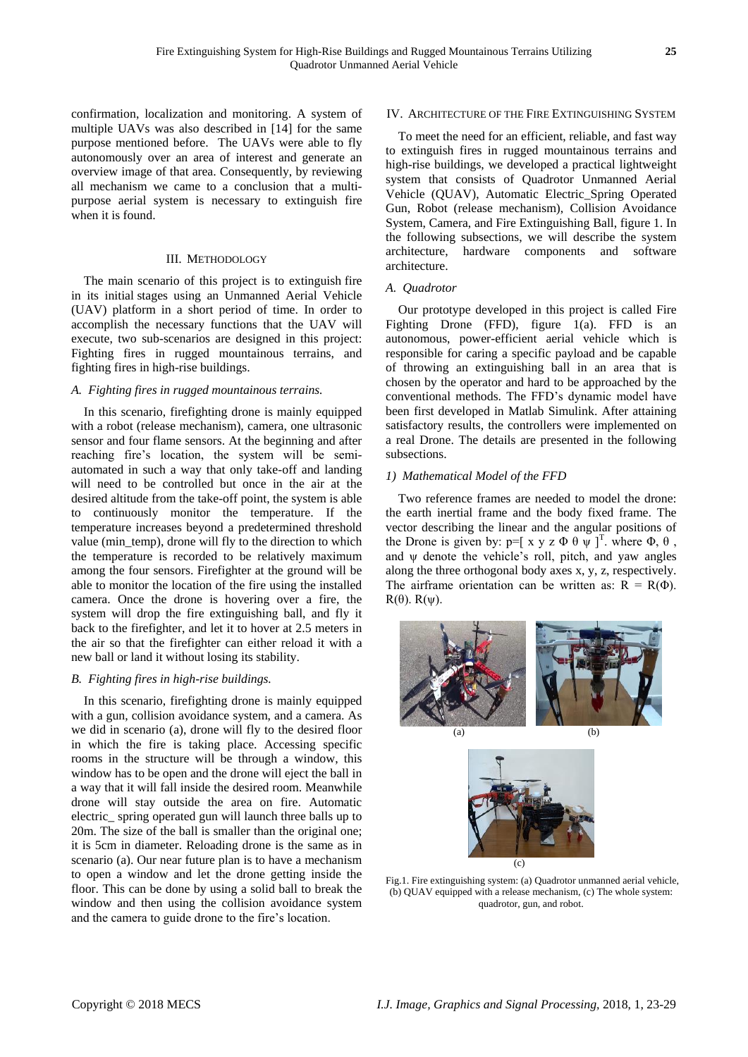confirmation, localization and monitoring. A system of multiple UAVs was also described in [14] for the same purpose mentioned before. The UAVs were able to fly autonomously over an area of interest and generate an overview image of that area. Consequently, by reviewing all mechanism we came to a conclusion that a multipurpose aerial system is necessary to extinguish fire when it is found.

## III. METHODOLOGY

The main scenario of this project is to extinguish fire in its initial stages using an Unmanned Aerial Vehicle (UAV) platform in a short period of time. In order to accomplish the necessary functions that the UAV will execute, two sub-scenarios are designed in this project: Fighting fires in rugged mountainous terrains, and fighting fires in high-rise buildings.

# *A. Fighting fires in rugged mountainous terrains.*

In this scenario, firefighting drone is mainly equipped with a robot (release mechanism), camera, one ultrasonic sensor and four flame sensors. At the beginning and after reaching fire's location, the system will be semiautomated in such a way that only take-off and landing will need to be controlled but once in the air at the desired altitude from the take-off point, the system is able to continuously monitor the temperature. If the temperature increases beyond a predetermined threshold value (min\_temp), drone will fly to the direction to which the temperature is recorded to be relatively maximum among the four sensors. Firefighter at the ground will be able to monitor the location of the fire using the installed camera. Once the drone is hovering over a fire, the system will drop the fire extinguishing ball, and fly it back to the firefighter, and let it to hover at 2.5 meters in the air so that the firefighter can either reload it with a new ball or land it without losing its stability.

## *B. Fighting fires in high-rise buildings.*

In this scenario, firefighting drone is mainly equipped with a gun, collision avoidance system, and a camera. As we did in scenario (a), drone will fly to the desired floor in which the fire is taking place. Accessing specific rooms in the structure will be through a window, this window has to be open and the drone will eject the ball in a way that it will fall inside the desired room. Meanwhile drone will stay outside the area on fire. Automatic electric\_ spring operated gun will launch three balls up to 20m. The size of the ball is smaller than the original one; it is 5cm in diameter. Reloading drone is the same as in scenario (a). Our near future plan is to have a mechanism to open a window and let the drone getting inside the floor. This can be done by using a solid ball to break the window and then using the collision avoidance system and the camera to guide drone to the fire's location.

# IV. ARCHITECTURE OF THE FIRE EXTINGUISHING SYSTEM

To meet the need for an efficient, reliable, and fast way to extinguish fires in rugged mountainous terrains and high-rise buildings, we developed a practical lightweight system that consists of Quadrotor Unmanned Aerial Vehicle (QUAV), Automatic Electric\_Spring Operated Gun, Robot (release mechanism), Collision Avoidance System, Camera, and Fire Extinguishing Ball, figure 1. In the following subsections, we will describe the system architecture, hardware components and software architecture.

## *A. Quadrotor*

Our prototype developed in this project is called Fire Fighting Drone (FFD), figure 1(a). FFD is an autonomous, power-efficient aerial vehicle which is responsible for caring a specific payload and be capable of throwing an extinguishing ball in an area that is chosen by the operator and hard to be approached by the conventional methods. The FFD's dynamic model have been first developed in Matlab Simulink. After attaining satisfactory results, the controllers were implemented on a real Drone. The details are presented in the following subsections.

## *1) Mathematical Model of the FFD*

Two reference frames are needed to model the drone: the earth inertial frame and the body fixed frame. The vector describing the linear and the angular positions of the Drone is given by:  $p = [x \ y \ z \ \Phi \ \theta \ \psi]^T$ . where  $\Phi$ ,  $\theta$ , and  $\psi$  denote the vehicle's roll, pitch, and yaw angles along the three orthogonal body axes x, y, z, respectively. The airframe orientation can be written as:  $R = R(\Phi)$ . R(θ). R(ψ).



Fig.1. Fire extinguishing system: (a) Quadrotor unmanned aerial vehicle, (b) QUAV equipped with a release mechanism, (c) The whole system: quadrotor, gun, and robot.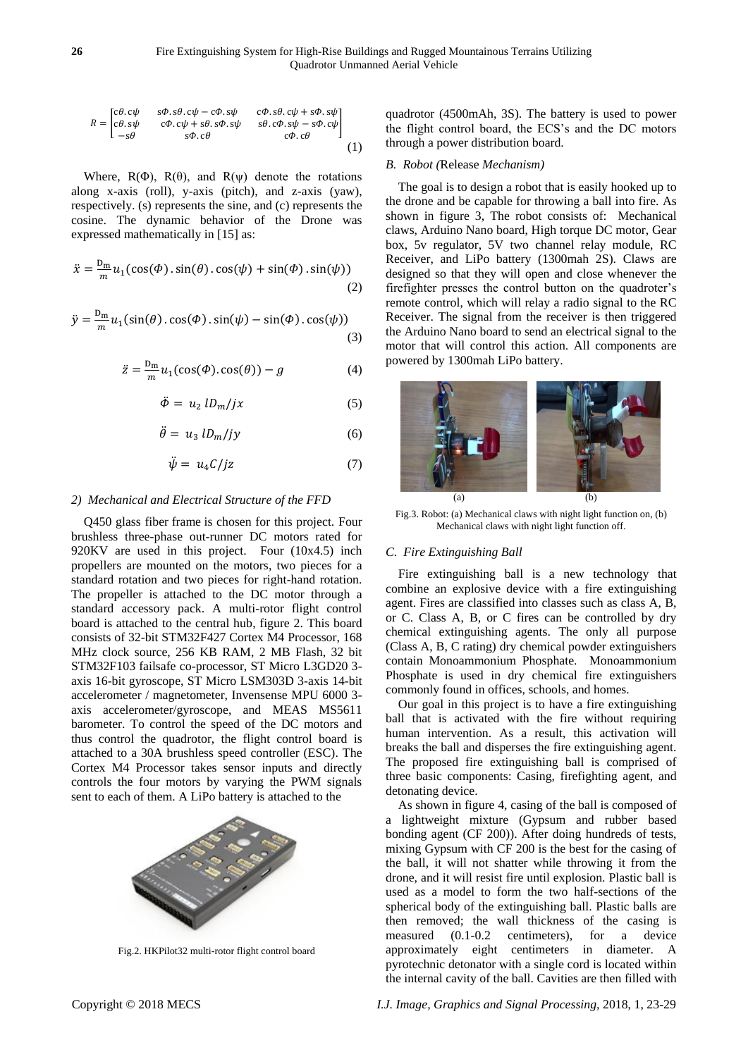$$
R = \begin{bmatrix} c\theta & c\psi & s\phi & s\theta & c\psi - c\phi & s\psi & c\phi & s\theta & c\psi + s\phi & s\psi \\ c\theta & s\psi & c\phi & c\psi + s\theta & s\phi & s\theta & c\phi & s\psi - s\phi & c\psi \\ -s\theta & s\phi & c\theta & c\phi & c\phi & c\phi \end{bmatrix}
$$
 (1)

Where,  $R(\Phi)$ ,  $R(\theta)$ , and  $R(\psi)$  denote the rotations along x-axis (roll), y-axis (pitch), and z-axis (yaw), respectively. (s) represents the sine, and (c) represents the cosine. The dynamic behavior of the Drone was expressed mathematically in [15] as:

$$
\ddot{x} = \frac{D_m}{m} u_1(\cos(\Phi) \cdot \sin(\theta) \cdot \cos(\psi) + \sin(\Phi) \cdot \sin(\psi))
$$
\n(2)

$$
\ddot{y} = \frac{D_m}{m} u_1(\sin(\theta) \cdot \cos(\phi) \cdot \sin(\psi) - \sin(\phi) \cdot \cos(\psi))
$$
\n(3)

$$
\ddot{z} = \frac{D_m}{m} u_1(\cos(\Phi), \cos(\theta)) - g \tag{4}
$$

$$
\ddot{\Phi} = u_2 \, l D_m / j x \tag{5}
$$

$$
\ddot{\theta} = u_3 \, l D_m / j y \tag{6}
$$

$$
\ddot{\psi} = u_4 C / jz \tag{7}
$$

## *2) Mechanical and Electrical Structure of the FFD*

Q450 glass fiber frame is chosen for this project. Four brushless three-phase out-runner DC motors rated for 920KV are used in this project. Four (10x4.5) inch propellers are mounted on the motors, two pieces for a standard rotation and two pieces for right-hand rotation. The propeller is attached to the DC motor through a standard accessory pack. A multi-rotor flight control board is attached to the central hub, figure 2. This board consists of 32-bit STM32F427 Cortex M4 Processor, 168 MHz clock source, 256 KB RAM, 2 MB Flash, 32 bit STM32F103 failsafe co-processor, ST Micro L3GD20 3 axis 16-bit gyroscope, ST Micro LSM303D 3-axis 14-bit accelerometer / magnetometer, Invensense MPU 6000 3 axis accelerometer/gyroscope, and MEAS MS5611 barometer. To control the speed of the DC motors and thus control the quadrotor, the flight control board is attached to a 30A brushless speed controller (ESC). The Cortex M4 Processor takes sensor inputs and directly controls the four motors by varying the PWM signals sent to each of them. A LiPo battery is attached to the



Fig.2. HKPilot32 multi-rotor flight control board

quadrotor (4500mAh, 3S). The battery is used to power the flight control board, the ECS's and the DC motors through a power distribution board.

#### *B. Robot (*Release *Mechanism)*

The goal is to design a robot that is easily hooked up to the drone and be capable for throwing a ball into fire. As shown in figure 3, The robot consists of: Mechanical claws, Arduino Nano board, High torque DC motor, Gear box, 5v regulator, 5V two channel relay module, RC Receiver, and LiPo battery (1300mah 2S). Claws are designed so that they will open and close whenever the firefighter presses the control button on the quadroter's remote control, which will relay a radio signal to the RC Receiver. The signal from the receiver is then triggered the Arduino Nano board to send an electrical signal to the motor that will control this action. All components are powered by 1300mah LiPo battery.



Fig.3. Robot: (a) Mechanical claws with night light function on, (b) Mechanical claws with night light function off.

#### *C. Fire Extinguishing Ball*

Fire extinguishing ball is a new technology that combine an explosive device with a fire extinguishing agent. Fires are classified into classes such as class A, B, or C. Class A, B, or C fires can be controlled by dry chemical extinguishing agents. The only all purpose (Class A, B, C rating) dry chemical powder extinguishers contain Monoammonium Phosphate. Monoammonium Phosphate is used in dry chemical fire extinguishers commonly found in offices, schools, and homes.

Our goal in this project is to have a fire extinguishing ball that is activated with the fire without requiring human intervention. As a result, this activation will breaks the ball and disperses the fire extinguishing agent. The proposed fire extinguishing ball is comprised of three basic components: Casing, firefighting agent, and detonating device.

As shown in figure 4, casing of the ball is composed of a lightweight mixture (Gypsum and rubber based bonding agent (CF 200)). After doing hundreds of tests, mixing Gypsum with CF 200 is the best for the casing of the ball, it will not shatter while throwing it from the drone, and it will resist fire until explosion. Plastic ball is used as a model to form the two half-sections of the spherical body of the extinguishing ball. Plastic balls are then removed; the wall thickness of the casing is measured (0.1-0.2 centimeters), for a device approximately eight centimeters in diameter. A pyrotechnic detonator with a single cord is located within the internal cavity of the ball. Cavities are then filled with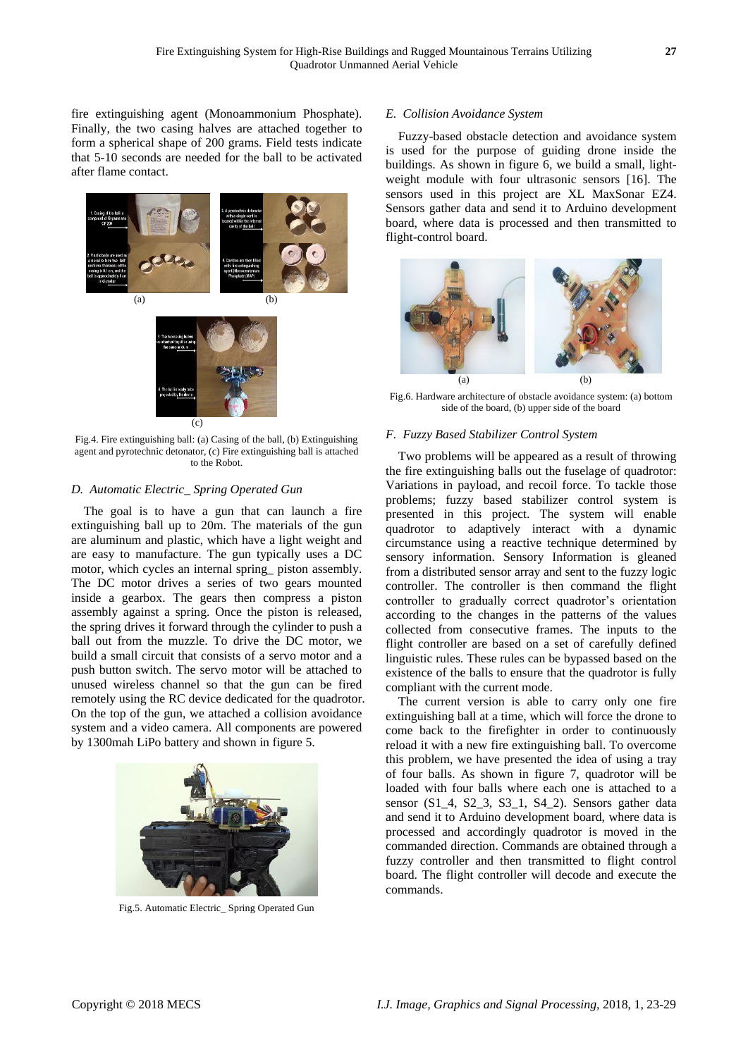fire extinguishing agent (Monoammonium Phosphate). Finally, the two casing halves are attached together to form a spherical shape of 200 grams. Field tests indicate that 5-10 seconds are needed for the ball to be activated after flame contact.



Fig.4. Fire extinguishing ball: (a) Casing of the ball, (b) Extinguishing agent and pyrotechnic detonator, (c) Fire extinguishing ball is attached to the Robot.

# *D. Automatic Electric\_ Spring Operated Gun*

The goal is to have a gun that can launch a fire extinguishing ball up to 20m. The materials of the gun are aluminum and plastic, which have a light weight and are easy to manufacture. The gun typically uses a DC motor, which cycles an internal spring\_ piston assembly. The DC motor drives a series of two gears mounted inside a gearbox. The gears then compress a piston assembly against a spring. Once the piston is released, the spring drives it forward through the cylinder to push a ball out from the muzzle. To drive the DC motor, we build a small circuit that consists of a servo motor and a push button switch. The servo motor will be attached to unused wireless channel so that the gun can be fired remotely using the RC device dedicated for the quadrotor. On the top of the gun, we attached a collision avoidance system and a video camera. All components are powered by 1300mah LiPo battery and shown in figure 5.



Fig.5. Automatic Electric\_ Spring Operated Gun

## *E. Collision Avoidance System*

Fuzzy-based obstacle detection and avoidance system is used for the purpose of guiding drone inside the buildings. As shown in figure 6, we build a small, lightweight module with four ultrasonic sensors [16]. The sensors used in this project are XL MaxSonar EZ4. Sensors gather data and send it to Arduino development board, where data is processed and then transmitted to flight-control board.



Fig.6. Hardware architecture of obstacle avoidance system: (a) bottom side of the board, (b) upper side of the board

## *F. Fuzzy Based Stabilizer Control System*

Two problems will be appeared as a result of throwing the fire extinguishing balls out the fuselage of quadrotor: Variations in payload, and recoil force. To tackle those problems; fuzzy based stabilizer control system is presented in this project. The system will enable quadrotor to adaptively interact with a dynamic circumstance using a reactive technique determined by sensory information. Sensory Information is gleaned from a distributed sensor array and sent to the fuzzy logic controller. The controller is then command the flight controller to gradually correct quadrotor's orientation according to the changes in the patterns of the values collected from consecutive frames. The inputs to the flight controller are based on a set of carefully defined linguistic rules. These rules can be bypassed based on the existence of the balls to ensure that the quadrotor is fully compliant with the current mode.

The current version is able to carry only one fire extinguishing ball at a time, which will force the drone to come back to the firefighter in order to continuously reload it with a new fire extinguishing ball. To overcome this problem, we have presented the idea of using a tray of four balls. As shown in figure 7, quadrotor will be loaded with four balls where each one is attached to a sensor (S1\_4, S2\_3, S3\_1, S4\_2). Sensors gather data and send it to Arduino development board, where data is processed and accordingly quadrotor is moved in the commanded direction. Commands are obtained through a fuzzy controller and then transmitted to flight control board. The flight controller will decode and execute the commands.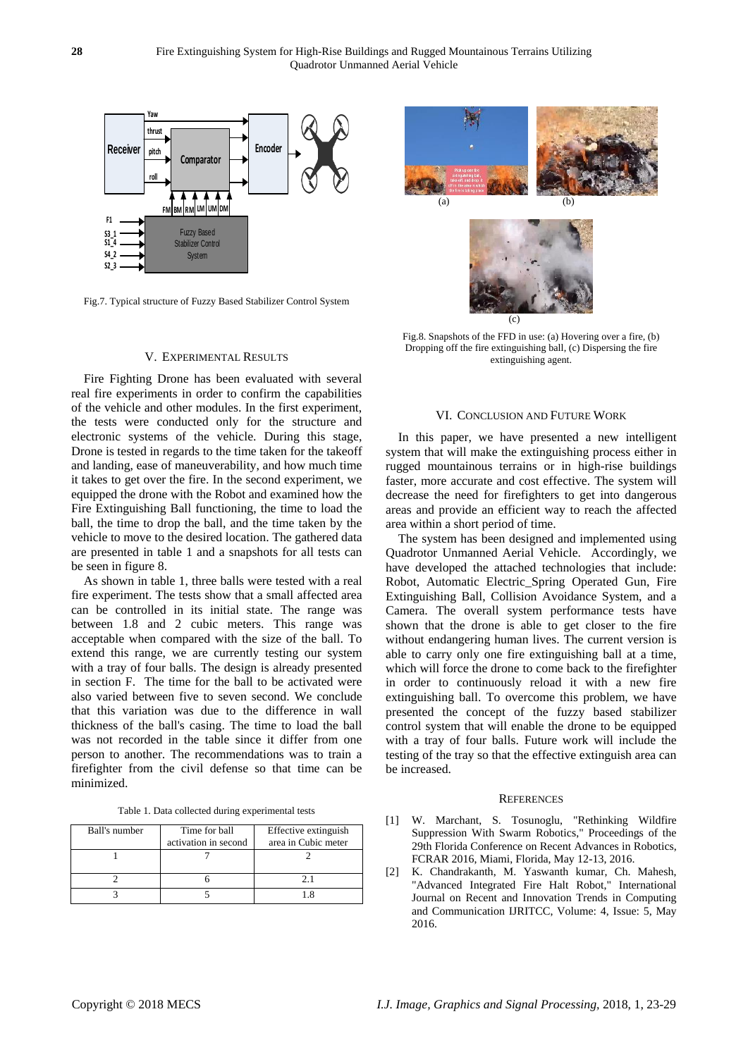

Fig.7. Typical structure of Fuzzy Based Stabilizer Control System

#### V. EXPERIMENTAL RESULTS

Fire Fighting Drone has been evaluated with several real fire experiments in order to confirm the capabilities of the vehicle and other modules. In the first experiment, the tests were conducted only for the structure and electronic systems of the vehicle. During this stage, Drone is tested in regards to the time taken for the takeoff and landing, ease of maneuverability, and how much time it takes to get over the fire. In the second experiment, we equipped the drone with the Robot and examined how the Fire Extinguishing Ball functioning, the time to load the ball, the time to drop the ball, and the time taken by the vehicle to move to the desired location. The gathered data are presented in table 1 and a snapshots for all tests can be seen in figure 8.

As shown in table 1, three balls were tested with a real fire experiment. The tests show that a small affected area can be controlled in its initial state. The range was between 1.8 and 2 cubic meters. This range was acceptable when compared with the size of the ball. To extend this range, we are currently testing our system with a tray of four balls. The design is already presented in section F. The time for the ball to be activated were also varied between five to seven second. We conclude that this variation was due to the difference in wall thickness of the ball's casing. The time to load the ball was not recorded in the table since it differ from one person to another. The recommendations was to train a firefighter from the civil defense so that time can be minimized.

Table 1. Data collected during experimental tests

| Ball's number | Time for ball<br>activation in second | Effective extinguish<br>area in Cubic meter |
|---------------|---------------------------------------|---------------------------------------------|
|               |                                       |                                             |
|               |                                       | 21                                          |
|               |                                       |                                             |





Fig.8. Snapshots of the FFD in use: (a) Hovering over a fire, (b) Dropping off the fire extinguishing ball, (c) Dispersing the fire extinguishing agent.

#### VI. CONCLUSION AND FUTURE WORK

In this paper, we have presented a new intelligent system that will make the extinguishing process either in rugged mountainous terrains or in high-rise buildings faster, more accurate and cost effective. The system will decrease the need for firefighters to get into dangerous areas and provide an efficient way to reach the affected area within a short period of time.

The system has been designed and implemented using Quadrotor Unmanned Aerial Vehicle. Accordingly, we have developed the attached technologies that include: Robot, Automatic Electric\_Spring Operated Gun, Fire Extinguishing Ball, Collision Avoidance System, and a Camera. The overall system performance tests have shown that the drone is able to get closer to the fire without endangering human lives. The current version is able to carry only one fire extinguishing ball at a time, which will force the drone to come back to the firefighter in order to continuously reload it with a new fire extinguishing ball. To overcome this problem, we have presented the concept of the fuzzy based stabilizer control system that will enable the drone to be equipped with a tray of four balls. Future work will include the testing of the tray so that the effective extinguish area can be increased.

#### **REFERENCES**

- [1] W. Marchant, S. Tosunoglu, "Rethinking Wildfire Suppression With Swarm Robotics," Proceedings of the 29th Florida Conference on Recent Advances in Robotics, FCRAR 2016, Miami, Florida, May 12-13, 2016.
- [2] K. Chandrakanth, M. Yaswanth kumar, Ch. Mahesh, "Advanced Integrated Fire Halt Robot," International Journal on Recent and Innovation Trends in Computing and Communication IJRITCC, Volume: 4, Issue: 5, May 2016.